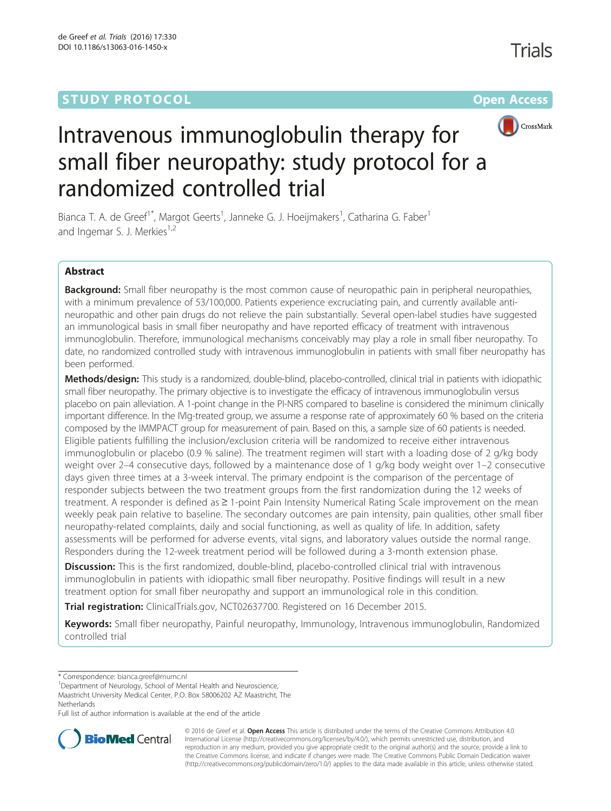# **STUDY PROTOCOL CONSUMING THE RESERVE ACCESS**



# Intravenous immunoglobulin therapy for small fiber neuropathy: study protocol for a randomized controlled trial

Bianca T. A. de Greef<sup>1\*</sup>, Margot Geerts<sup>1</sup>, Janneke G. J. Hoeijmakers<sup>1</sup>, Catharina G. Faber<sup>1</sup> and Ingemar S. J. Merkies $1,2$ 

# Abstract

Background: Small fiber neuropathy is the most common cause of neuropathic pain in peripheral neuropathies, with a minimum prevalence of 53/100,000. Patients experience excruciating pain, and currently available antineuropathic and other pain drugs do not relieve the pain substantially. Several open-label studies have suggested an immunological basis in small fiber neuropathy and have reported efficacy of treatment with intravenous immunoglobulin. Therefore, immunological mechanisms conceivably may play a role in small fiber neuropathy. To date, no randomized controlled study with intravenous immunoglobulin in patients with small fiber neuropathy has been performed.

Methods/design: This study is a randomized, double-blind, placebo-controlled, clinical trial in patients with idiopathic small fiber neuropathy. The primary objective is to investigate the efficacy of intravenous immunoglobulin versus placebo on pain alleviation. A 1-point change in the PI-NRS compared to baseline is considered the minimum clinically important difference. In the IVIg-treated group, we assume a response rate of approximately 60 % based on the criteria composed by the IMMPACT group for measurement of pain. Based on this, a sample size of 60 patients is needed. Eligible patients fulfilling the inclusion/exclusion criteria will be randomized to receive either intravenous immunoglobulin or placebo (0.9 % saline). The treatment regimen will start with a loading dose of 2 g/kg body weight over 2–4 consecutive days, followed by a maintenance dose of 1 g/kg body weight over 1–2 consecutive days given three times at a 3-week interval. The primary endpoint is the comparison of the percentage of responder subjects between the two treatment groups from the first randomization during the 12 weeks of treatment. A responder is defined as ≥ 1-point Pain Intensity Numerical Rating Scale improvement on the mean weekly peak pain relative to baseline. The secondary outcomes are pain intensity, pain qualities, other small fiber neuropathy-related complaints, daily and social functioning, as well as quality of life. In addition, safety assessments will be performed for adverse events, vital signs, and laboratory values outside the normal range. Responders during the 12-week treatment period will be followed during a 3-month extension phase.

**Discussion:** This is the first randomized, double-blind, placebo-controlled clinical trial with intravenous immunoglobulin in patients with idiopathic small fiber neuropathy. Positive findings will result in a new treatment option for small fiber neuropathy and support an immunological role in this condition.

Trial registration: ClinicalTrials.gov, [NCT02637700.](https://clinicaltrials.gov/ct2/show/NCT02637700?term=NCT02637700&rank=1) Registered on 16 December 2015.

Keywords: Small fiber neuropathy, Painful neuropathy, Immunology, Intravenous immunoglobulin, Randomized controlled trial

<sup>1</sup>Department of Neurology, School of Mental Health and Neuroscience, Maastricht University Medical Center, P.O. Box 58006202 AZ Maastricht, The Netherlands

Full list of author information is available at the end of the article



© 2016 de Greef et al. **Open Access** This article is distributed under the terms of the Creative Commons Attribution 4.0 International License [\(http://creativecommons.org/licenses/by/4.0/](http://creativecommons.org/licenses/by/4.0/)), which permits unrestricted use, distribution, and reproduction in any medium, provided you give appropriate credit to the original author(s) and the source, provide a link to the Creative Commons license, and indicate if changes were made. The Creative Commons Public Domain Dedication waiver [\(http://creativecommons.org/publicdomain/zero/1.0/](http://creativecommons.org/publicdomain/zero/1.0/)) applies to the data made available in this article, unless otherwise stated.

<sup>\*</sup> Correspondence: [bianca.greef@mumc.nl](mailto:bianca.greef@mumc.nl) <sup>1</sup>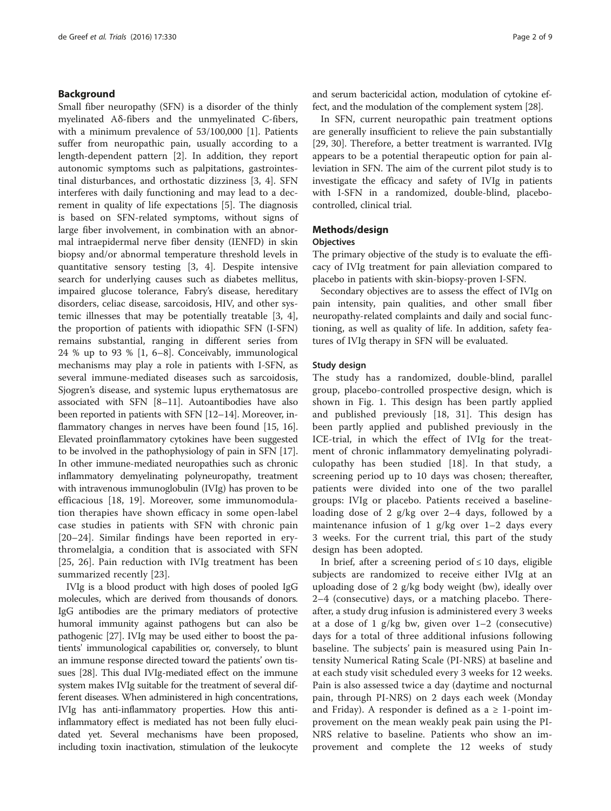# Background

Small fiber neuropathy (SFN) is a disorder of the thinly myelinated Aδ-fibers and the unmyelinated C-fibers, with a minimum prevalence of 53/100,000 [[1\]](#page-7-0). Patients suffer from neuropathic pain, usually according to a length-dependent pattern [[2\]](#page-7-0). In addition, they report autonomic symptoms such as palpitations, gastrointestinal disturbances, and orthostatic dizziness [\[3](#page-7-0), [4\]](#page-7-0). SFN interferes with daily functioning and may lead to a decrement in quality of life expectations [[5\]](#page-7-0). The diagnosis is based on SFN-related symptoms, without signs of large fiber involvement, in combination with an abnormal intraepidermal nerve fiber density (IENFD) in skin biopsy and/or abnormal temperature threshold levels in quantitative sensory testing [\[3](#page-7-0), [4\]](#page-7-0). Despite intensive search for underlying causes such as diabetes mellitus, impaired glucose tolerance, Fabry's disease, hereditary disorders, celiac disease, sarcoidosis, HIV, and other systemic illnesses that may be potentially treatable [[3, 4](#page-7-0)], the proportion of patients with idiopathic SFN (I-SFN) remains substantial, ranging in different series from 24 % up to 93 % [\[1](#page-7-0), [6](#page-7-0)–[8](#page-7-0)]. Conceivably, immunological mechanisms may play a role in patients with I-SFN, as several immune-mediated diseases such as sarcoidosis, Sjogren's disease, and systemic lupus erythematosus are associated with SFN [[8](#page-7-0)–[11](#page-7-0)]. Autoantibodies have also been reported in patients with SFN [\[12](#page-7-0)–[14](#page-7-0)]. Moreover, inflammatory changes in nerves have been found [\[15, 16](#page-7-0)]. Elevated proinflammatory cytokines have been suggested to be involved in the pathophysiology of pain in SFN [[17](#page-7-0)]. In other immune-mediated neuropathies such as chronic inflammatory demyelinating polyneuropathy, treatment with intravenous immunoglobulin (IVIg) has proven to be efficacious [[18, 19\]](#page-7-0). Moreover, some immunomodulation therapies have shown efficacy in some open-label case studies in patients with SFN with chronic pain [[20](#page-7-0)–[24](#page-7-0)]. Similar findings have been reported in erythromelalgia, a condition that is associated with SFN [[25, 26](#page-7-0)]. Pain reduction with IVIg treatment has been summarized recently [\[23](#page-7-0)].

IVIg is a blood product with high doses of pooled IgG molecules, which are derived from thousands of donors. IgG antibodies are the primary mediators of protective humoral immunity against pathogens but can also be pathogenic [\[27\]](#page-7-0). IVIg may be used either to boost the patients' immunological capabilities or, conversely, to blunt an immune response directed toward the patients' own tissues [\[28\]](#page-7-0). This dual IVIg-mediated effect on the immune system makes IVIg suitable for the treatment of several different diseases. When administered in high concentrations, IVIg has anti-inflammatory properties. How this antiinflammatory effect is mediated has not been fully elucidated yet. Several mechanisms have been proposed, including toxin inactivation, stimulation of the leukocyte and serum bactericidal action, modulation of cytokine effect, and the modulation of the complement system [\[28\]](#page-7-0).

In SFN, current neuropathic pain treatment options are generally insufficient to relieve the pain substantially [[29, 30\]](#page-8-0). Therefore, a better treatment is warranted. IVIg appears to be a potential therapeutic option for pain alleviation in SFN. The aim of the current pilot study is to investigate the efficacy and safety of IVIg in patients with I-SFN in a randomized, double-blind, placebocontrolled, clinical trial.

## Methods/design

#### **Objectives**

The primary objective of the study is to evaluate the efficacy of IVIg treatment for pain alleviation compared to placebo in patients with skin-biopsy-proven I-SFN.

Secondary objectives are to assess the effect of IVIg on pain intensity, pain qualities, and other small fiber neuropathy-related complaints and daily and social functioning, as well as quality of life. In addition, safety features of IVIg therapy in SFN will be evaluated.

## Study design

The study has a randomized, double-blind, parallel group, placebo-controlled prospective design, which is shown in Fig. [1](#page-2-0). This design has been partly applied and published previously [[18,](#page-7-0) [31\]](#page-8-0). This design has been partly applied and published previously in the ICE-trial, in which the effect of IVIg for the treatment of chronic inflammatory demyelinating polyradiculopathy has been studied [[18\]](#page-7-0). In that study, a screening period up to 10 days was chosen; thereafter, patients were divided into one of the two parallel groups: IVIg or placebo. Patients received a baselineloading dose of 2 g/kg over 2–4 days, followed by a maintenance infusion of 1 g/kg over 1–2 days every 3 weeks. For the current trial, this part of the study design has been adopted.

In brief, after a screening period of  $\leq 10$  days, eligible subjects are randomized to receive either IVIg at an uploading dose of 2 g/kg body weight (bw), ideally over 2–4 (consecutive) days, or a matching placebo. Thereafter, a study drug infusion is administered every 3 weeks at a dose of 1 g/kg bw, given over  $1-2$  (consecutive) days for a total of three additional infusions following baseline. The subjects' pain is measured using Pain Intensity Numerical Rating Scale (PI-NRS) at baseline and at each study visit scheduled every 3 weeks for 12 weeks. Pain is also assessed twice a day (daytime and nocturnal pain, through PI-NRS) on 2 days each week (Monday and Friday). A responder is defined as a  $\geq$  1-point improvement on the mean weakly peak pain using the PI-NRS relative to baseline. Patients who show an improvement and complete the 12 weeks of study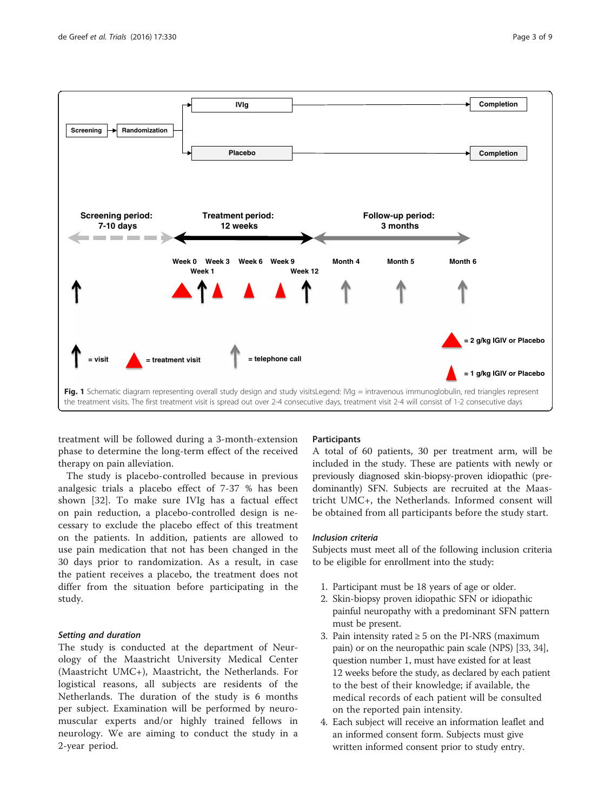<span id="page-2-0"></span>

treatment will be followed during a 3-month-extension phase to determine the long-term effect of the received therapy on pain alleviation.

The study is placebo-controlled because in previous analgesic trials a placebo effect of 7-37 % has been shown [\[32](#page-8-0)]. To make sure IVIg has a factual effect on pain reduction, a placebo-controlled design is necessary to exclude the placebo effect of this treatment on the patients. In addition, patients are allowed to use pain medication that not has been changed in the 30 days prior to randomization. As a result, in case the patient receives a placebo, the treatment does not differ from the situation before participating in the study.

## Setting and duration

The study is conducted at the department of Neurology of the Maastricht University Medical Center (Maastricht UMC+), Maastricht, the Netherlands. For logistical reasons, all subjects are residents of the Netherlands. The duration of the study is 6 months per subject. Examination will be performed by neuromuscular experts and/or highly trained fellows in neurology. We are aiming to conduct the study in a 2-year period.

## **Participants**

A total of 60 patients, 30 per treatment arm, will be included in the study. These are patients with newly or previously diagnosed skin-biopsy-proven idiopathic (predominantly) SFN. Subjects are recruited at the Maastricht UMC+, the Netherlands. Informed consent will be obtained from all participants before the study start.

#### Inclusion criteria

Subjects must meet all of the following inclusion criteria to be eligible for enrollment into the study:

- 1. Participant must be 18 years of age or older.
- 2. Skin-biopsy proven idiopathic SFN or idiopathic painful neuropathy with a predominant SFN pattern must be present.
- 3. Pain intensity rated  $\geq$  5 on the PI-NRS (maximum pain) or on the neuropathic pain scale (NPS) [\[33](#page-8-0), [34\]](#page-8-0), question number 1, must have existed for at least 12 weeks before the study, as declared by each patient to the best of their knowledge; if available, the medical records of each patient will be consulted on the reported pain intensity.
- 4. Each subject will receive an information leaflet and an informed consent form. Subjects must give written informed consent prior to study entry.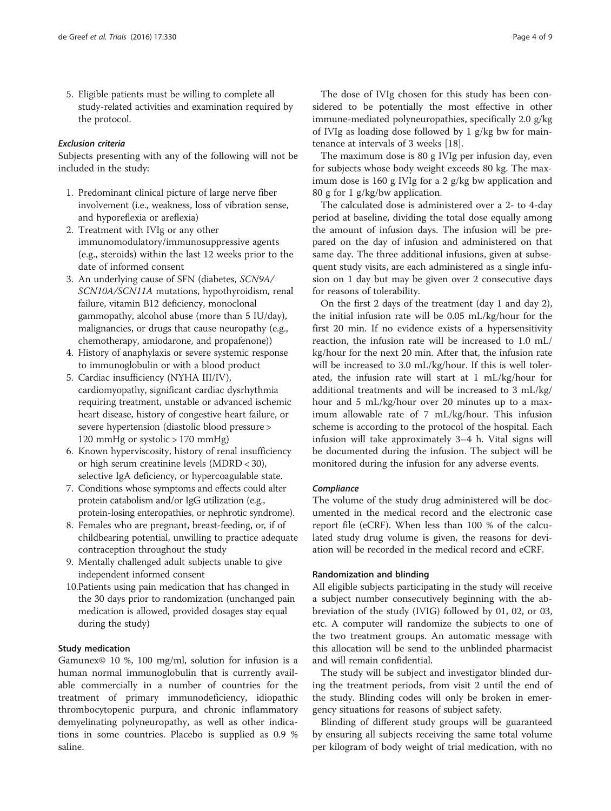5. Eligible patients must be willing to complete all study-related activities and examination required by the protocol.

# Exclusion criteria

Subjects presenting with any of the following will not be included in the study:

- 1. Predominant clinical picture of large nerve fiber involvement (i.e., weakness, loss of vibration sense, and hyporeflexia or areflexia)
- 2. Treatment with IVIg or any other immunomodulatory/immunosuppressive agents (e.g., steroids) within the last 12 weeks prior to the date of informed consent
- 3. An underlying cause of SFN (diabetes, SCN9A/ SCN10A/SCN11A mutations, hypothyroidism, renal failure, vitamin B12 deficiency, monoclonal gammopathy, alcohol abuse (more than 5 IU/day), malignancies, or drugs that cause neuropathy (e.g., chemotherapy, amiodarone, and propafenone))
- 4. History of anaphylaxis or severe systemic response to immunoglobulin or with a blood product
- 5. Cardiac insufficiency (NYHA III/IV), cardiomyopathy, significant cardiac dysrhythmia requiring treatment, unstable or advanced ischemic heart disease, history of congestive heart failure, or severe hypertension (diastolic blood pressure > 120 mmHg or systolic > 170 mmHg)
- 6. Known hyperviscosity, history of renal insufficiency or high serum creatinine levels (MDRD < 30), selective IgA deficiency, or hypercoagulable state.
- 7. Conditions whose symptoms and effects could alter protein catabolism and/or IgG utilization (e.g., protein-losing enteropathies, or nephrotic syndrome).
- 8. Females who are pregnant, breast-feeding, or, if of childbearing potential, unwilling to practice adequate contraception throughout the study
- 9. Mentally challenged adult subjects unable to give independent informed consent
- 10.Patients using pain medication that has changed in the 30 days prior to randomization (unchanged pain medication is allowed, provided dosages stay equal during the study)

# Study medication

Gamunex© 10 %, 100 mg/ml, solution for infusion is a human normal immunoglobulin that is currently available commercially in a number of countries for the treatment of primary immunodeficiency, idiopathic thrombocytopenic purpura, and chronic inflammatory demyelinating polyneuropathy, as well as other indications in some countries. Placebo is supplied as 0.9 % saline.

The dose of IVIg chosen for this study has been considered to be potentially the most effective in other immune-mediated polyneuropathies, specifically 2.0 g/kg of IVIg as loading dose followed by 1 g/kg bw for maintenance at intervals of 3 weeks [[18\]](#page-7-0).

The maximum dose is 80 g IVIg per infusion day, even for subjects whose body weight exceeds 80 kg. The maximum dose is 160 g IVIg for a 2 g/kg bw application and 80 g for 1 g/kg/bw application.

The calculated dose is administered over a 2- to 4-day period at baseline, dividing the total dose equally among the amount of infusion days. The infusion will be prepared on the day of infusion and administered on that same day. The three additional infusions, given at subsequent study visits, are each administered as a single infusion on 1 day but may be given over 2 consecutive days for reasons of tolerability.

On the first 2 days of the treatment (day 1 and day 2), the initial infusion rate will be 0.05 mL/kg/hour for the first 20 min. If no evidence exists of a hypersensitivity reaction, the infusion rate will be increased to 1.0 mL/ kg/hour for the next 20 min. After that, the infusion rate will be increased to 3.0 mL/kg/hour. If this is well tolerated, the infusion rate will start at 1 mL/kg/hour for additional treatments and will be increased to 3 mL/kg/ hour and 5 mL/kg/hour over 20 minutes up to a maximum allowable rate of 7 mL/kg/hour. This infusion scheme is according to the protocol of the hospital. Each infusion will take approximately 3–4 h. Vital signs will be documented during the infusion. The subject will be monitored during the infusion for any adverse events.

## Compliance

The volume of the study drug administered will be documented in the medical record and the electronic case report file (eCRF). When less than 100 % of the calculated study drug volume is given, the reasons for deviation will be recorded in the medical record and eCRF.

# Randomization and blinding

All eligible subjects participating in the study will receive a subject number consecutively beginning with the abbreviation of the study (IVIG) followed by 01, 02, or 03, etc. A computer will randomize the subjects to one of the two treatment groups. An automatic message with this allocation will be send to the unblinded pharmacist and will remain confidential.

The study will be subject and investigator blinded during the treatment periods, from visit 2 until the end of the study. Blinding codes will only be broken in emergency situations for reasons of subject safety.

Blinding of different study groups will be guaranteed by ensuring all subjects receiving the same total volume per kilogram of body weight of trial medication, with no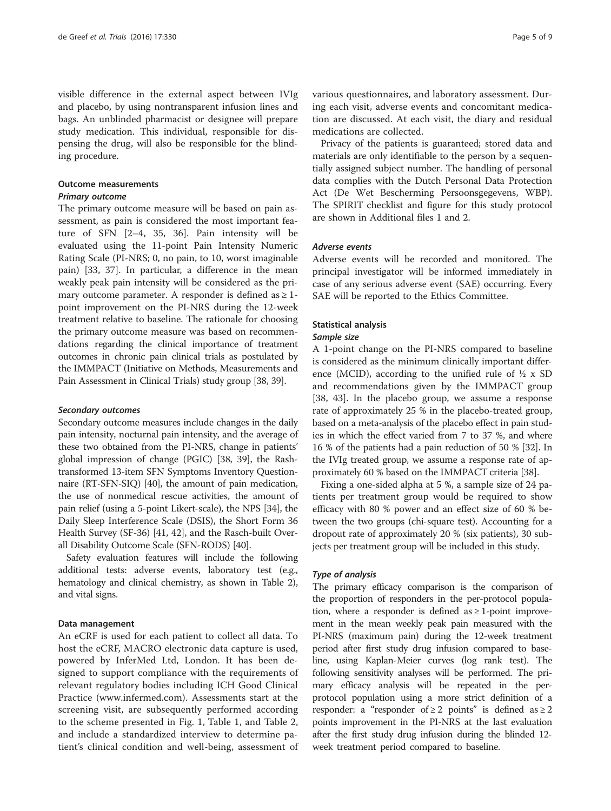visible difference in the external aspect between IVIg and placebo, by using nontransparent infusion lines and bags. An unblinded pharmacist or designee will prepare study medication. This individual, responsible for dispensing the drug, will also be responsible for the blinding procedure.

# Outcome measurements

# Primary outcome

The primary outcome measure will be based on pain assessment, as pain is considered the most important feature of SFN [\[2](#page-7-0)–[4,](#page-7-0) [35](#page-8-0), [36\]](#page-8-0). Pain intensity will be evaluated using the 11-point Pain Intensity Numeric Rating Scale (PI-NRS; 0, no pain, to 10, worst imaginable pain) [[33](#page-8-0), [37\]](#page-8-0). In particular, a difference in the mean weakly peak pain intensity will be considered as the primary outcome parameter. A responder is defined as  $\geq 1$ point improvement on the PI-NRS during the 12-week treatment relative to baseline. The rationale for choosing the primary outcome measure was based on recommendations regarding the clinical importance of treatment outcomes in chronic pain clinical trials as postulated by the IMMPACT (Initiative on Methods, Measurements and Pain Assessment in Clinical Trials) study group [\[38, 39](#page-8-0)].

#### Secondary outcomes

Secondary outcome measures include changes in the daily pain intensity, nocturnal pain intensity, and the average of these two obtained from the PI-NRS, change in patients' global impression of change (PGIC) [[38](#page-8-0), [39\]](#page-8-0), the Rashtransformed 13-item SFN Symptoms Inventory Questionnaire (RT-SFN-SIQ) [[40](#page-8-0)], the amount of pain medication, the use of nonmedical rescue activities, the amount of pain relief (using a 5-point Likert-scale), the NPS [\[34\]](#page-8-0), the Daily Sleep Interference Scale (DSIS), the Short Form 36 Health Survey (SF-36) [\[41, 42\]](#page-8-0), and the Rasch-built Overall Disability Outcome Scale (SFN-RODS) [\[40\]](#page-8-0).

Safety evaluation features will include the following additional tests: adverse events, laboratory test (e.g., hematology and clinical chemistry, as shown in Table [2](#page-6-0)), and vital signs.

#### Data management

An eCRF is used for each patient to collect all data. To host the eCRF, MACRO electronic data capture is used, powered by InferMed Ltd, London. It has been designed to support compliance with the requirements of relevant regulatory bodies including ICH Good Clinical Practice ([www.infermed.com\)](http://www.infermed.com). Assessments start at the screening visit, are subsequently performed according to the scheme presented in Fig. [1,](#page-2-0) Table [1](#page-5-0), and Table [2](#page-6-0), and include a standardized interview to determine patient's clinical condition and well-being, assessment of various questionnaires, and laboratory assessment. During each visit, adverse events and concomitant medication are discussed. At each visit, the diary and residual medications are collected.

Privacy of the patients is guaranteed; stored data and materials are only identifiable to the person by a sequentially assigned subject number. The handling of personal data complies with the Dutch Personal Data Protection Act (De Wet Bescherming Persoonsgegevens, WBP). The SPIRIT checklist and figure for this study protocol are shown in Additional files [1](#page-6-0) and [2](#page-6-0).

# Adverse events

Adverse events will be recorded and monitored. The principal investigator will be informed immediately in case of any serious adverse event (SAE) occurring. Every SAE will be reported to the Ethics Committee.

# Statistical analysis

#### Sample size

A 1-point change on the PI-NRS compared to baseline is considered as the minimum clinically important difference (MCID), according to the unified rule of  $\frac{1}{2} \times$  SD and recommendations given by the IMMPACT group [[38, 43](#page-8-0)]. In the placebo group, we assume a response rate of approximately 25 % in the placebo-treated group, based on a meta-analysis of the placebo effect in pain studies in which the effect varied from 7 to 37 %, and where 16 % of the patients had a pain reduction of 50 % [\[32\]](#page-8-0). In the IVIg treated group, we assume a response rate of approximately 60 % based on the IMMPACT criteria [[38](#page-8-0)].

Fixing a one-sided alpha at 5 %, a sample size of 24 patients per treatment group would be required to show efficacy with 80 % power and an effect size of 60 % between the two groups (chi-square test). Accounting for a dropout rate of approximately 20 % (six patients), 30 subjects per treatment group will be included in this study.

## Type of analysis

The primary efficacy comparison is the comparison of the proportion of responders in the per-protocol population, where a responder is defined as  $\geq 1$ -point improvement in the mean weekly peak pain measured with the PI-NRS (maximum pain) during the 12-week treatment period after first study drug infusion compared to baseline, using Kaplan-Meier curves (log rank test). The following sensitivity analyses will be performed. The primary efficacy analysis will be repeated in the perprotocol population using a more strict definition of a responder: a "responder of  $\geq 2$  points" is defined as  $\geq 2$ points improvement in the PI-NRS at the last evaluation after the first study drug infusion during the blinded 12 week treatment period compared to baseline.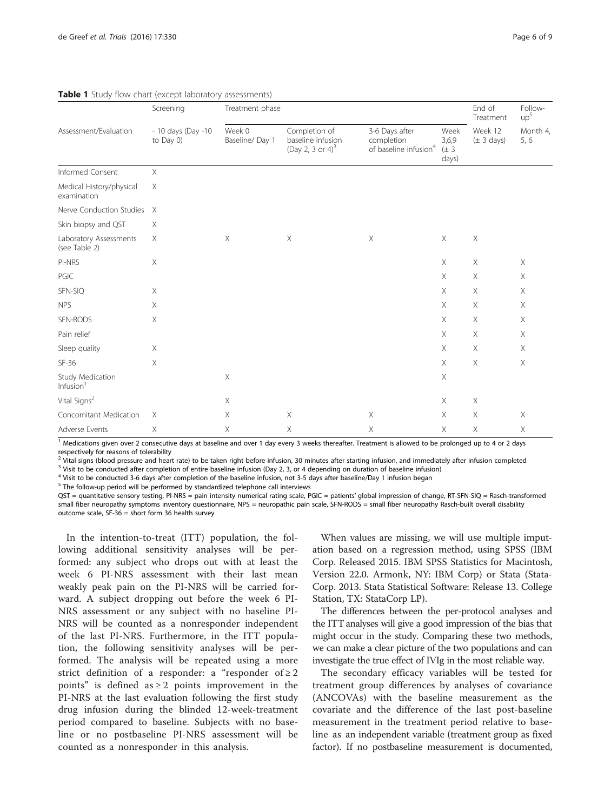| Assessment/Evaluation                   | Screening<br>- 10 days (Day -10<br>to Day $0$ ) | Treatment phase           | End of<br>Treatment                                                | Follow-<br>up <sup>5</sup>                                        |                                     |                                   |                  |
|-----------------------------------------|-------------------------------------------------|---------------------------|--------------------------------------------------------------------|-------------------------------------------------------------------|-------------------------------------|-----------------------------------|------------------|
|                                         |                                                 | Week 0<br>Baseline/ Day 1 | Completion of<br>baseline infusion<br>(Day 2, 3 or 4) <sup>3</sup> | 3-6 Days after<br>completion<br>of baseline infusion <sup>4</sup> | Week<br>3,6,9<br>$(\pm 3)$<br>days) | Week 12<br>$(\pm 3 \text{ days})$ | Month 4,<br>5, 6 |
| Informed Consent                        | $\times$                                        |                           |                                                                    |                                                                   |                                     |                                   |                  |
| Medical History/physical<br>examination | $\times$                                        |                           |                                                                    |                                                                   |                                     |                                   |                  |
| Nerve Conduction Studies                | $\mathsf{X}$                                    |                           |                                                                    |                                                                   |                                     |                                   |                  |
| Skin biopsy and QST                     | $\times$                                        |                           |                                                                    |                                                                   |                                     |                                   |                  |
| Laboratory Assessments<br>(see Table 2) | $\times$                                        | $\boldsymbol{\mathsf{X}}$ | X                                                                  | $\mathsf X$                                                       | Χ                                   | X                                 |                  |
| PI-NRS                                  | $\times$                                        |                           |                                                                    |                                                                   | X                                   | X                                 | X                |
| PGIC                                    |                                                 |                           |                                                                    |                                                                   | $\times$                            | $\times$                          | $\times$         |
| SFN-SIQ                                 | $\times$                                        |                           |                                                                    |                                                                   | $\times$                            | X                                 | X                |
| <b>NPS</b>                              | $\times$                                        |                           |                                                                    |                                                                   | $\boldsymbol{\mathsf{X}}$           | X                                 | $\times$         |
| SFN-RODS                                | Χ                                               |                           |                                                                    |                                                                   | $\mathsf X$                         | X                                 | Χ                |
| Pain relief                             |                                                 |                           |                                                                    |                                                                   | X                                   | Χ                                 | X                |
| Sleep quality                           | $\times$                                        |                           |                                                                    |                                                                   | X                                   | X                                 | X                |
| $SF-36$                                 | $\times$                                        |                           |                                                                    |                                                                   | $\times$                            | $\times$                          | $\times$         |
| Study Medication<br>Infusion $1$        |                                                 | $\boldsymbol{\mathsf{X}}$ |                                                                    |                                                                   | $\boldsymbol{\mathsf{X}}$           |                                   |                  |
| Vital Signs <sup>2</sup>                |                                                 | $\times$                  |                                                                    |                                                                   | $\mathsf X$                         | X                                 |                  |
| Concomitant Medication                  | $\times$                                        | Χ                         | X                                                                  | X                                                                 | X                                   | X                                 | X                |
| Adverse Events                          | Χ                                               | Χ                         | Χ                                                                  | $\boldsymbol{\mathsf{X}}$                                         | $\boldsymbol{\mathsf{X}}$           | X                                 | Χ                |

<span id="page-5-0"></span>Table 1 Study flow chart (except laboratory assessments)

<sup>1</sup> Medications given over 2 consecutive days at baseline and over 1 day every 3 weeks thereafter. Treatment is allowed to be prolonged up to 4 or 2 days respectively for reasons of tolerability

 $^2$  Vital signs (blood pressure and heart rate) to be taken right before infusion, 30 minutes after starting infusion, and immediately after infusion completed  $^3$  Visit to be conducted after completed  $^3$  Visit to be

<sup>4</sup> Visit to be conducted 3-6 days after completion of the baseline infusion, not 3-5 days after baseline/Day 1 infusion began

<sup>5</sup> The follow-up period will be performed by standardized telephone call interviews

QST = quantitative sensory testing, PI-NRS = pain intensity numerical rating scale, PGIC = patients' global impression of change, RT-SFN-SIQ = Rasch-transformed small fiber neuropathy symptoms inventory questionnaire, NPS = neuropathic pain scale, SFN-RODS = small fiber neuropathy Rasch-built overall disability outcome scale,  $SF-36 = short form 36$  health survey

In the intention-to-treat (ITT) population, the following additional sensitivity analyses will be performed: any subject who drops out with at least the week 6 PI-NRS assessment with their last mean weakly peak pain on the PI-NRS will be carried forward. A subject dropping out before the week 6 PI-NRS assessment or any subject with no baseline PI-NRS will be counted as a nonresponder independent of the last PI-NRS. Furthermore, in the ITT population, the following sensitivity analyses will be performed. The analysis will be repeated using a more strict definition of a responder: a "responder of  $\geq 2$ points" is defined as  $\geq 2$  points improvement in the PI-NRS at the last evaluation following the first study drug infusion during the blinded 12-week-treatment period compared to baseline. Subjects with no baseline or no postbaseline PI-NRS assessment will be counted as a nonresponder in this analysis.

When values are missing, we will use multiple imputation based on a regression method, using SPSS (IBM Corp. Released 2015. IBM SPSS Statistics for Macintosh, Version 22.0. Armonk, NY: IBM Corp) or Stata (Stata-Corp. 2013. Stata Statistical Software: Release 13. College Station, TX: StataCorp LP).

The differences between the per-protocol analyses and the ITT analyses will give a good impression of the bias that might occur in the study. Comparing these two methods, we can make a clear picture of the two populations and can investigate the true effect of IVIg in the most reliable way.

The secondary efficacy variables will be tested for treatment group differences by analyses of covariance (ANCOVAs) with the baseline measurement as the covariate and the difference of the last post-baseline measurement in the treatment period relative to baseline as an independent variable (treatment group as fixed factor). If no postbaseline measurement is documented,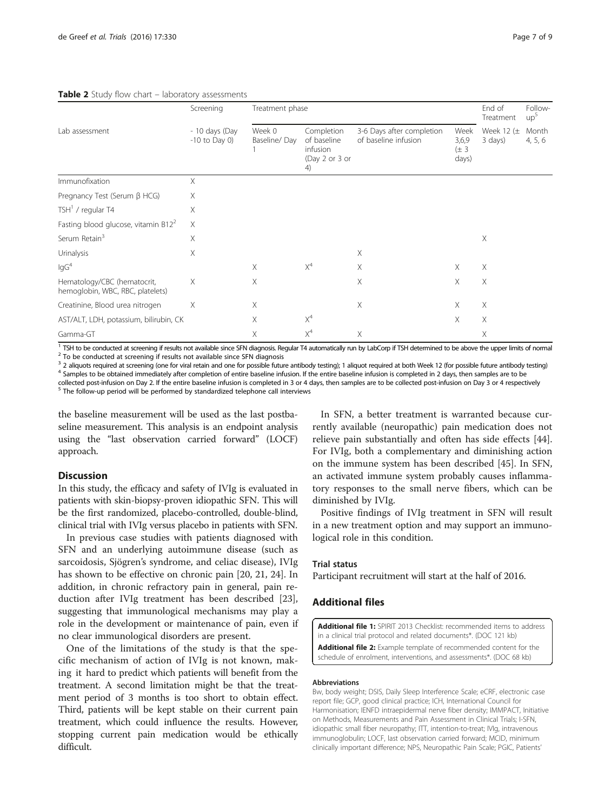# <span id="page-6-0"></span>Table 2 Study flow chart - laboratory assessments

|                                                                 | Screening                         | Treatment phase                                                                         |       |                                                                                          |   | End of<br>Treatment       | Follow-<br>up <sup>3</sup> |
|-----------------------------------------------------------------|-----------------------------------|-----------------------------------------------------------------------------------------|-------|------------------------------------------------------------------------------------------|---|---------------------------|----------------------------|
| Lab assessment                                                  | - 10 days (Day<br>$-10$ to Day 0) | Week 0<br>Completion<br>Baseline/Day<br>of baseline<br>infusion<br>(Day 2 or 3 or<br>4) |       | 3-6 Days after completion<br>Week<br>of baseline infusion<br>3,6,9<br>$(\pm 3)$<br>days) |   | Week 12 $(\pm$<br>3 days) | Month<br>4, 5, 6           |
| Immunofixation                                                  | X                                 |                                                                                         |       |                                                                                          |   |                           |                            |
| Pregnancy Test (Serum β HCG)                                    | Χ                                 |                                                                                         |       |                                                                                          |   |                           |                            |
| TSH $1$ / regular T4                                            | Χ                                 |                                                                                         |       |                                                                                          |   |                           |                            |
| Fasting blood glucose, vitamin $B122$                           | $\times$                          |                                                                                         |       |                                                                                          |   |                           |                            |
| Serum Retain <sup>3</sup>                                       | Χ                                 |                                                                                         |       |                                                                                          |   | Χ                         |                            |
| Urinalysis                                                      | Χ                                 |                                                                                         |       | Χ                                                                                        |   |                           |                            |
| lgG <sup>4</sup>                                                |                                   | $\times$                                                                                | $X^4$ | X                                                                                        | X | Χ                         |                            |
| Hematology/CBC (hematocrit,<br>hemoglobin, WBC, RBC, platelets) | X                                 | X                                                                                       |       | X                                                                                        | X | X                         |                            |
| Creatinine, Blood urea nitrogen                                 | X                                 | $\times$                                                                                |       | $\times$                                                                                 | Χ | Χ                         |                            |
| AST/ALT, LDH, potassium, bilirubin, CK                          |                                   | X                                                                                       | $X^4$ |                                                                                          | X | X                         |                            |
| Gamma-GT                                                        |                                   | Χ                                                                                       | $X^4$ | Χ                                                                                        |   | X                         |                            |

<sup>1</sup> TSH to be conducted at screening if results not available since SFN diagnosis. Regular T4 automatically run by LabCorp if TSH determined to be above the upper limits of normal<br><sup>2</sup> To be conducted at screening if result

<sup>3</sup> 2 aliquots required at screening (one for viral retain and one for possible future antibody testing); 1 aliquot required at both Week 12 (for possible future antibody testing)<br><sup>4</sup> Samples to be obtained immediately aft

collected post-infusion on Day 2. If the entire baseline infusion is completed in 3 or 4 days, then samples are to be collected post-infusion on Day 3 or 4 respectively<br><sup>5</sup> The follow-up period will be performed by standar

the baseline measurement will be used as the last postbaseline measurement. This analysis is an endpoint analysis using the "last observation carried forward" (LOCF) approach.

# **Discussion**

In this study, the efficacy and safety of IVIg is evaluated in patients with skin-biopsy-proven idiopathic SFN. This will be the first randomized, placebo-controlled, double-blind, clinical trial with IVIg versus placebo in patients with SFN.

In previous case studies with patients diagnosed with SFN and an underlying autoimmune disease (such as sarcoidosis, Sjögren's syndrome, and celiac disease), IVIg has shown to be effective on chronic pain [[20, 21, 24\]](#page-7-0). In addition, in chronic refractory pain in general, pain reduction after IVIg treatment has been described [\[23](#page-7-0)], suggesting that immunological mechanisms may play a role in the development or maintenance of pain, even if no clear immunological disorders are present.

One of the limitations of the study is that the specific mechanism of action of IVIg is not known, making it hard to predict which patients will benefit from the treatment. A second limitation might be that the treatment period of 3 months is too short to obtain effect. Third, patients will be kept stable on their current pain treatment, which could influence the results. However, stopping current pain medication would be ethically difficult.

In SFN, a better treatment is warranted because currently available (neuropathic) pain medication does not relieve pain substantially and often has side effects [\[44](#page-8-0)]. For IVIg, both a complementary and diminishing action on the immune system has been described [\[45](#page-8-0)]. In SFN, an activated immune system probably causes inflammatory responses to the small nerve fibers, which can be diminished by IVIg.

Positive findings of IVIg treatment in SFN will result in a new treatment option and may support an immunological role in this condition.

#### Trial status

Participant recruitment will start at the half of 2016.

# Additional files

[Additional file 1:](dx.doi.org/10.1186/s13063-016-1450-x) SPIRIT 2013 Checklist: recommended items to address in a clinical trial protocol and related documents\*. (DOC 121 kb)

[Additional file 2:](dx.doi.org/10.1186/s13063-016-1450-x) Example template of recommended content for the schedule of enrolment, interventions, and assessments\*. (DOC 68 kb)

#### Abbreviations

Bw, body weight; DSIS, Daily Sleep Interference Scale; eCRF, electronic case report file; GCP, good clinical practice; ICH, International Council for Harmonisation; IENFD intraepidermal nerve fiber density; IMMPACT, Initiative on Methods, Measurements and Pain Assessment in Clinical Trials; I-SFN, idiopathic small fiber neuropathy; ITT, intention-to-treat; IVIg, intravenous immunoglobulin; LOCF, last observation carried forward; MCID, minimum clinically important difference; NPS, Neuropathic Pain Scale; PGIC, Patients'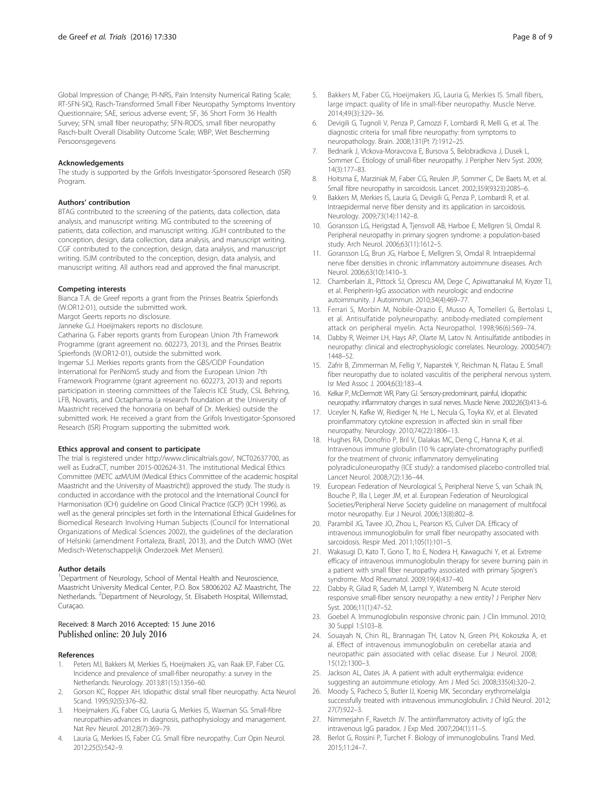<span id="page-7-0"></span>Global Impression of Change; PI-NRS, Pain Intensity Numerical Rating Scale; RT-SFN-SIQ, Rasch-Transformed Small Fiber Neuropathy Symptoms Inventory Questionnaire; SAE, serious adverse event; SF, 36 Short Form 36 Health Survey; SFN, small fiber neuropathy; SFN-RODS, small fiber neuropathy Rasch-built Overall Disability Outcome Scale; WBP, Wet Bescherming Persoonsgegevens

#### Acknowledgements

The study is supported by the Grifols Investigator-Sponsored Research (ISR) Program.

#### Authors' contribution

BTAG contributed to the screening of the patients, data collection, data analysis, and manuscript writing. MG contributed to the screening of patients, data collection, and manuscript writing. JGJH contributed to the conception, design, data collection, data analysis, and manuscript writing. CGF contributed to the conception, design, data analysis, and manuscript writing. ISJM contributed to the conception, design, data analysis, and manuscript writing. All authors read and approved the final manuscript.

#### Competing interests

Bianca T.A. de Greef reports a grant from the Prinses Beatrix Spierfonds (W.OR12-01), outside the submitted work.

Margot Geerts reports no disclosure.

Janneke G.J. Hoeijmakers reports no disclosure. Catharina G. Faber reports grants from European Union 7th Framework Programme (grant agreement no. 602273, 2013), and the Prinses Beatrix Spierfonds (W.OR12-01), outside the submitted work. Ingemar S.J. Merkies reports grants from the GBS/CIDP Foundation

International for PeriNomS study and from the European Union 7th Framework Programme (grant agreement no. 602273, 2013) and reports participation in steering committees of the Talecris ICE Study, CSL Behring, LFB, Novartis, and Octapharma (a research foundation at the University of Maastricht received the honoraria on behalf of Dr. Merkies) outside the submitted work. He received a grant from the Grifols Investigator-Sponsored Research (ISR) Program supporting the submitted work.

#### Ethics approval and consent to participate

The trial is registered under http://www.clinicaltrials.gov/, NCT02637700, as well as EudraCT, number 2015-002624-31. The institutional Medical Ethics Committee (METC azM/UM (Medical Ethics Committee of the academic hospital Maastricht and the University of Maastricht)) approved the study. The study is conducted in accordance with the protocol and the International Council for Harmonisation (ICH) guideline on Good Clinical Practice (GCP) (ICH 1996), as well as the general principles set forth in the International Ethical Guidelines for Biomedical Research Involving Human Subjects (Council for International Organizations of Medical Sciences 2002), the guidelines of the declaration of Helsinki (amendment Fortaleza, Brazil, 2013), and the Dutch WMO (Wet Medisch-Wetenschappelijk Onderzoek Met Mensen).

#### Author details

<sup>1</sup>Department of Neurology, School of Mental Health and Neuroscience, Maastricht University Medical Center, P.O. Box 58006202 AZ Maastricht, The Netherlands. <sup>2</sup>Department of Neurology, St. Elisabeth Hospital, Willemstad, Curaçao.

#### Received: 8 March 2016 Accepted: 15 June 2016 Published online: 20 July 2016

#### References

- Peters MJ, Bakkers M, Merkies IS, Hoeijmakers JG, van Raak EP, Faber CG. Incidence and prevalence of small-fiber neuropathy: a survey in the Netherlands. Neurology. 2013;81(15):1356–60.
- 2. Gorson KC, Ropper AH. Idiopathic distal small fiber neuropathy. Acta Neurol Scand. 1995;92(5):376–82.
- Hoeijmakers JG, Faber CG, Lauria G, Merkies IS, Waxman SG. Small-fibre neuropathies-advances in diagnosis, pathophysiology and management. Nat Rev Neurol. 2012;8(7):369–79.
- 4. Lauria G, Merkies IS, Faber CG. Small fibre neuropathy. Curr Opin Neurol. 2012;25(5):542–9.
- 5. Bakkers M, Faber CG, Hoeijmakers JG, Lauria G, Merkies IS. Small fibers, large impact: quality of life in small-fiber neuropathy. Muscle Nerve. 2014;49(3):329–36.
- 6. Devigili G, Tugnoli V, Penza P, Camozzi F, Lombardi R, Melli G, et al. The diagnostic criteria for small fibre neuropathy: from symptoms to neuropathology. Brain. 2008;131(Pt 7):1912–25.
- 7. Bednarik J, Vlckova-Moravcova E, Bursova S, Belobradkova J, Dusek L, Sommer C. Etiology of small-fiber neuropathy. J Peripher Nerv Syst. 2009; 14(3):177–83.
- 8. Hoitsma E, Marziniak M, Faber CG, Reulen JP, Sommer C, De Baets M, et al. Small fibre neuropathy in sarcoidosis. Lancet. 2002;359(9323):2085–6.
- 9. Bakkers M, Merkies IS, Lauria G, Devigili G, Penza P, Lombardi R, et al. Intraepidermal nerve fiber density and its application in sarcoidosis. Neurology. 2009;73(14):1142–8.
- 10. Goransson LG, Herigstad A, Tjensvoll AB, Harboe E, Mellgren SI, Omdal R. Peripheral neuropathy in primary sjogren syndrome: a population-based study. Arch Neurol. 2006;63(11):1612–5.
- 11. Goransson LG, Brun JG, Harboe E, Mellgren SI, Omdal R. Intraepidermal nerve fiber densities in chronic inflammatory autoimmune diseases. Arch Neurol. 2006;63(10):1410–3.
- 12. Chamberlain JL, Pittock SJ, Oprescu AM, Dege C, Apiwattanakul M, Kryzer TJ, et al. Peripherin-IgG association with neurologic and endocrine autoimmunity. J Autoimmun. 2010;34(4):469–77.
- 13. Ferrari S, Morbin M, Nobile-Orazio E, Musso A, Tomelleri G, Bertolasi L, et al. Antisulfatide polyneuropathy: antibody-mediated complement attack on peripheral myelin. Acta Neuropathol. 1998;96(6):569–74.
- 14. Dabby R, Weimer LH, Hays AP, Olarte M, Latov N. Antisulfatide antibodies in neuropathy: clinical and electrophysiologic correlates. Neurology. 2000;54(7): 1448–52.
- 15. Zafrir B, Zimmerman M, Fellig Y, Naparstek Y, Reichman N, Flatau E. Small fiber neuropathy due to isolated vasculitis of the peripheral nervous system. Isr Med Assoc J. 2004;6(3):183–4.
- 16. Kelkar P, McDermott WR, Parry GJ. Sensory-predominant, painful, idiopathic neuropathy: inflammatory changes in sural nerves. Muscle Nerve. 2002;26(3):413–6.
- 17. Uceyler N, Kafke W, Riediger N, He L, Necula G, Toyka KV, et al. Elevated proinflammatory cytokine expression in affected skin in small fiber neuropathy. Neurology. 2010;74(22):1806–13.
- 18. Hughes RA, Donofrio P, Bril V, Dalakas MC, Deng C, Hanna K, et al. Intravenous immune globulin (10 % caprylate-chromatography purified) for the treatment of chronic inflammatory demyelinating polyradiculoneuropathy (ICE study): a randomised placebo-controlled trial. Lancet Neurol. 2008;7(2):136–44.
- 19. European Federation of Neurological S, Peripheral Nerve S, van Schaik IN, Bouche P, Illa I, Leger JM, et al. European Federation of Neurological Societies/Peripheral Nerve Society guideline on management of multifocal motor neuropathy. Eur J Neurol. 2006;13(8):802–8.
- 20. Parambil JG, Tavee JO, Zhou L, Pearson KS, Culver DA. Efficacy of intravenous immunoglobulin for small fiber neuropathy associated with sarcoidosis. Respir Med. 2011;105(1):101–5.
- 21. Wakasugi D, Kato T, Gono T, Ito E, Nodera H, Kawaguchi Y, et al. Extreme efficacy of intravenous immunoglobulin therapy for severe burning pain in a patient with small fiber neuropathy associated with primary Sjogren's syndrome. Mod Rheumatol. 2009;19(4):437–40.
- 22. Dabby R, Gilad R, Sadeh M, Lampl Y, Watemberg N. Acute steroid responsive small-fiber sensory neuropathy: a new entity? J Peripher Nerv Syst. 2006;11(1):47–52.
- 23. Goebel A. Immunoglobulin responsive chronic pain. J Clin Immunol. 2010; 30 Suppl 1:S103–8.
- 24. Souayah N, Chin RL, Brannagan TH, Latov N, Green PH, Kokoszka A, et al. Effect of intravenous immunoglobulin on cerebellar ataxia and neuropathic pain associated with celiac disease. Eur J Neurol. 2008; 15(12):1300–3.
- 25. Jackson AL, Oates JA. A patient with adult erythermalgia: evidence suggesting an autoimmune etiology. Am J Med Sci. 2008;335(4):320–2.
- 26. Moody S, Pacheco S, Butler IJ, Koenig MK. Secondary erythromelalgia successfully treated with intravenous immunoglobulin. J Child Neurol. 2012; 27(7):922–3.
- 27. Nimmerjahn F, Ravetch JV. The antiinflammatory activity of IgG: the intravenous IgG paradox. J Exp Med. 2007;204(1):11–5.
- 28. Berlot G, Rossini P, Turchet F. Biology of immunoglobulins. Transl Med. 2015;11:24–7.